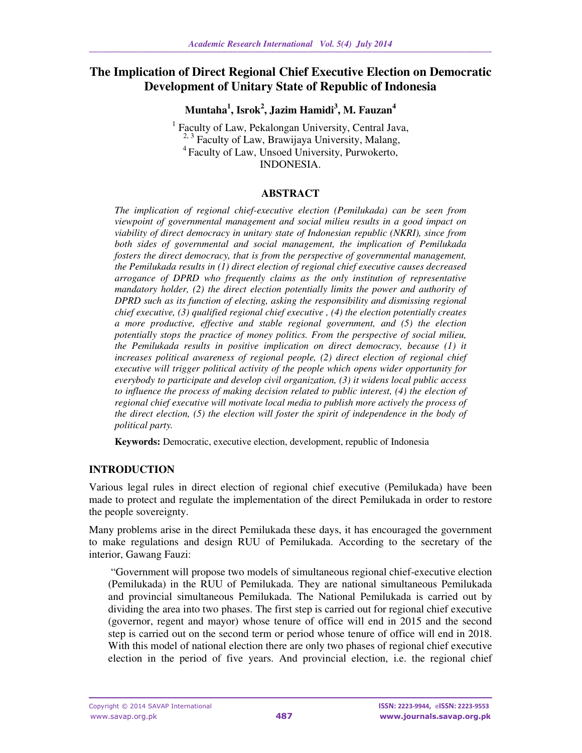# **The Implication of Direct Regional Chief Executive Election on Democratic Development of Unitary State of Republic of Indonesia**

**Muntaha<sup>1</sup> , Isrok<sup>2</sup> , Jazim Hamidi<sup>3</sup> , M. Fauzan<sup>4</sup>**

<sup>1</sup> Faculty of Law, Pekalongan University, Central Java,  $^{2,3}$  Faculty of Law, Brawijaya University, Malang, <sup>4</sup>Faculty of Law, Unsoed University, Purwokerto, INDONESIA.

## **ABSTRACT**

*The implication of regional chief-executive election (Pemilukada) can be seen from viewpoint of governmental management and social milieu results in a good impact on viability of direct democracy in unitary state of Indonesian republic (NKRI), since from both sides of governmental and social management, the implication of Pemilukada fosters the direct democracy, that is from the perspective of governmental management, the Pemilukada results in (1) direct election of regional chief executive causes decreased arrogance of DPRD who frequently claims as the only institution of representative mandatory holder, (2) the direct election potentially limits the power and authority of DPRD such as its function of electing, asking the responsibility and dismissing regional chief executive, (3) qualified regional chief executive , (4) the election potentially creates a more productive, effective and stable regional government, and (5) the election potentially stops the practice of money politics. From the perspective of social milieu, the Pemilukada results in positive implication on direct democracy, because (1) it increases political awareness of regional people, (2) direct election of regional chief executive will trigger political activity of the people which opens wider opportunity for everybody to participate and develop civil organization, (3) it widens local public access to influence the process of making decision related to public interest, (4) the election of regional chief executive will motivate local media to publish more actively the process of the direct election, (5) the election will foster the spirit of independence in the body of political party.* 

**Keywords:** Democratic, executive election, development, republic of Indonesia

## **INTRODUCTION**

Various legal rules in direct election of regional chief executive (Pemilukada) have been made to protect and regulate the implementation of the direct Pemilukada in order to restore the people sovereignty.

Many problems arise in the direct Pemilukada these days, it has encouraged the government to make regulations and design RUU of Pemilukada. According to the secretary of the interior, Gawang Fauzi:

 "Government will propose two models of simultaneous regional chief-executive election (Pemilukada) in the RUU of Pemilukada. They are national simultaneous Pemilukada and provincial simultaneous Pemilukada. The National Pemilukada is carried out by dividing the area into two phases. The first step is carried out for regional chief executive (governor, regent and mayor) whose tenure of office will end in 2015 and the second step is carried out on the second term or period whose tenure of office will end in 2018. With this model of national election there are only two phases of regional chief executive election in the period of five years. And provincial election, i.e. the regional chief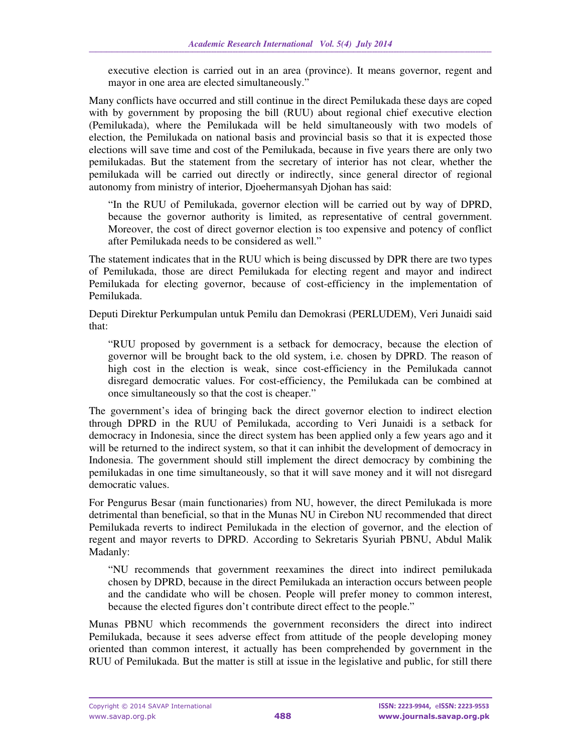executive election is carried out in an area (province). It means governor, regent and mayor in one area are elected simultaneously."

Many conflicts have occurred and still continue in the direct Pemilukada these days are coped with by government by proposing the bill (RUU) about regional chief executive election (Pemilukada), where the Pemilukada will be held simultaneously with two models of election, the Pemilukada on national basis and provincial basis so that it is expected those elections will save time and cost of the Pemilukada, because in five years there are only two pemilukadas. But the statement from the secretary of interior has not clear, whether the pemilukada will be carried out directly or indirectly, since general director of regional autonomy from ministry of interior, Djoehermansyah Djohan has said:

"In the RUU of Pemilukada, governor election will be carried out by way of DPRD, because the governor authority is limited, as representative of central government. Moreover, the cost of direct governor election is too expensive and potency of conflict after Pemilukada needs to be considered as well."

The statement indicates that in the RUU which is being discussed by DPR there are two types of Pemilukada, those are direct Pemilukada for electing regent and mayor and indirect Pemilukada for electing governor, because of cost-efficiency in the implementation of Pemilukada.

Deputi Direktur Perkumpulan untuk Pemilu dan Demokrasi (PERLUDEM), Veri Junaidi said that:

"RUU proposed by government is a setback for democracy, because the election of governor will be brought back to the old system, i.e. chosen by DPRD. The reason of high cost in the election is weak, since cost-efficiency in the Pemilukada cannot disregard democratic values. For cost-efficiency, the Pemilukada can be combined at once simultaneously so that the cost is cheaper."

The government's idea of bringing back the direct governor election to indirect election through DPRD in the RUU of Pemilukada, according to Veri Junaidi is a setback for democracy in Indonesia, since the direct system has been applied only a few years ago and it will be returned to the indirect system, so that it can inhibit the development of democracy in Indonesia. The government should still implement the direct democracy by combining the pemilukadas in one time simultaneously, so that it will save money and it will not disregard democratic values.

For Pengurus Besar (main functionaries) from NU, however, the direct Pemilukada is more detrimental than beneficial, so that in the Munas NU in Cirebon NU recommended that direct Pemilukada reverts to indirect Pemilukada in the election of governor, and the election of regent and mayor reverts to DPRD. According to Sekretaris Syuriah PBNU, Abdul Malik Madanly:

"NU recommends that government reexamines the direct into indirect pemilukada chosen by DPRD, because in the direct Pemilukada an interaction occurs between people and the candidate who will be chosen. People will prefer money to common interest, because the elected figures don't contribute direct effect to the people."

Munas PBNU which recommends the government reconsiders the direct into indirect Pemilukada, because it sees adverse effect from attitude of the people developing money oriented than common interest, it actually has been comprehended by government in the RUU of Pemilukada. But the matter is still at issue in the legislative and public, for still there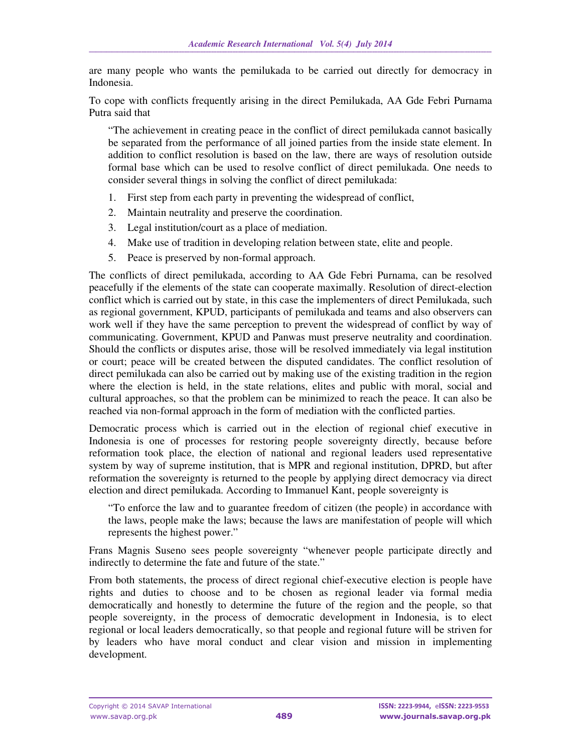are many people who wants the pemilukada to be carried out directly for democracy in Indonesia.

To cope with conflicts frequently arising in the direct Pemilukada, AA Gde Febri Purnama Putra said that

"The achievement in creating peace in the conflict of direct pemilukada cannot basically be separated from the performance of all joined parties from the inside state element. In addition to conflict resolution is based on the law, there are ways of resolution outside formal base which can be used to resolve conflict of direct pemilukada. One needs to consider several things in solving the conflict of direct pemilukada:

- 1. First step from each party in preventing the widespread of conflict,
- 2. Maintain neutrality and preserve the coordination.
- 3. Legal institution/court as a place of mediation.
- 4. Make use of tradition in developing relation between state, elite and people.
- 5. Peace is preserved by non-formal approach.

The conflicts of direct pemilukada, according to AA Gde Febri Purnama, can be resolved peacefully if the elements of the state can cooperate maximally. Resolution of direct-election conflict which is carried out by state, in this case the implementers of direct Pemilukada, such as regional government, KPUD, participants of pemilukada and teams and also observers can work well if they have the same perception to prevent the widespread of conflict by way of communicating. Government, KPUD and Panwas must preserve neutrality and coordination. Should the conflicts or disputes arise, those will be resolved immediately via legal institution or court; peace will be created between the disputed candidates. The conflict resolution of direct pemilukada can also be carried out by making use of the existing tradition in the region where the election is held, in the state relations, elites and public with moral, social and cultural approaches, so that the problem can be minimized to reach the peace. It can also be reached via non-formal approach in the form of mediation with the conflicted parties.

Democratic process which is carried out in the election of regional chief executive in Indonesia is one of processes for restoring people sovereignty directly, because before reformation took place, the election of national and regional leaders used representative system by way of supreme institution, that is MPR and regional institution, DPRD, but after reformation the sovereignty is returned to the people by applying direct democracy via direct election and direct pemilukada. According to Immanuel Kant, people sovereignty is

"To enforce the law and to guarantee freedom of citizen (the people) in accordance with the laws, people make the laws; because the laws are manifestation of people will which represents the highest power."

Frans Magnis Suseno sees people sovereignty "whenever people participate directly and indirectly to determine the fate and future of the state."

From both statements, the process of direct regional chief-executive election is people have rights and duties to choose and to be chosen as regional leader via formal media democratically and honestly to determine the future of the region and the people, so that people sovereignty, in the process of democratic development in Indonesia, is to elect regional or local leaders democratically, so that people and regional future will be striven for by leaders who have moral conduct and clear vision and mission in implementing development.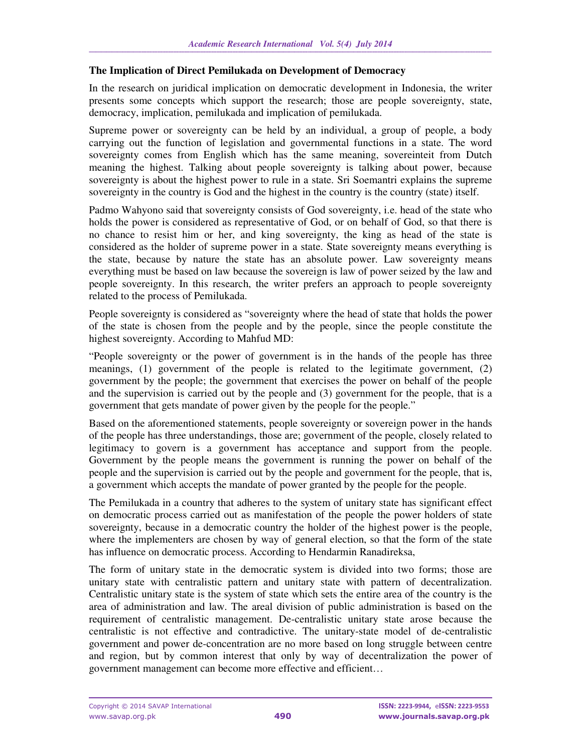### **The Implication of Direct Pemilukada on Development of Democracy**

In the research on juridical implication on democratic development in Indonesia, the writer presents some concepts which support the research; those are people sovereignty, state, democracy, implication, pemilukada and implication of pemilukada.

Supreme power or sovereignty can be held by an individual, a group of people, a body carrying out the function of legislation and governmental functions in a state. The word sovereignty comes from English which has the same meaning, sovereinteit from Dutch meaning the highest. Talking about people sovereignty is talking about power, because sovereignty is about the highest power to rule in a state. Sri Soemantri explains the supreme sovereignty in the country is God and the highest in the country is the country (state) itself.

Padmo Wahyono said that sovereignty consists of God sovereignty, i.e. head of the state who holds the power is considered as representative of God, or on behalf of God, so that there is no chance to resist him or her, and king sovereignty, the king as head of the state is considered as the holder of supreme power in a state. State sovereignty means everything is the state, because by nature the state has an absolute power. Law sovereignty means everything must be based on law because the sovereign is law of power seized by the law and people sovereignty. In this research, the writer prefers an approach to people sovereignty related to the process of Pemilukada.

People sovereignty is considered as "sovereignty where the head of state that holds the power of the state is chosen from the people and by the people, since the people constitute the highest sovereignty. According to Mahfud MD:

"People sovereignty or the power of government is in the hands of the people has three meanings, (1) government of the people is related to the legitimate government, (2) government by the people; the government that exercises the power on behalf of the people and the supervision is carried out by the people and (3) government for the people, that is a government that gets mandate of power given by the people for the people."

Based on the aforementioned statements, people sovereignty or sovereign power in the hands of the people has three understandings, those are; government of the people, closely related to legitimacy to govern is a government has acceptance and support from the people. Government by the people means the government is running the power on behalf of the people and the supervision is carried out by the people and government for the people, that is, a government which accepts the mandate of power granted by the people for the people.

The Pemilukada in a country that adheres to the system of unitary state has significant effect on democratic process carried out as manifestation of the people the power holders of state sovereignty, because in a democratic country the holder of the highest power is the people, where the implementers are chosen by way of general election, so that the form of the state has influence on democratic process. According to Hendarmin Ranadireksa,

The form of unitary state in the democratic system is divided into two forms; those are unitary state with centralistic pattern and unitary state with pattern of decentralization. Centralistic unitary state is the system of state which sets the entire area of the country is the area of administration and law. The areal division of public administration is based on the requirement of centralistic management. De-centralistic unitary state arose because the centralistic is not effective and contradictive. The unitary-state model of de-centralistic government and power de-concentration are no more based on long struggle between centre and region, but by common interest that only by way of decentralization the power of government management can become more effective and efficient…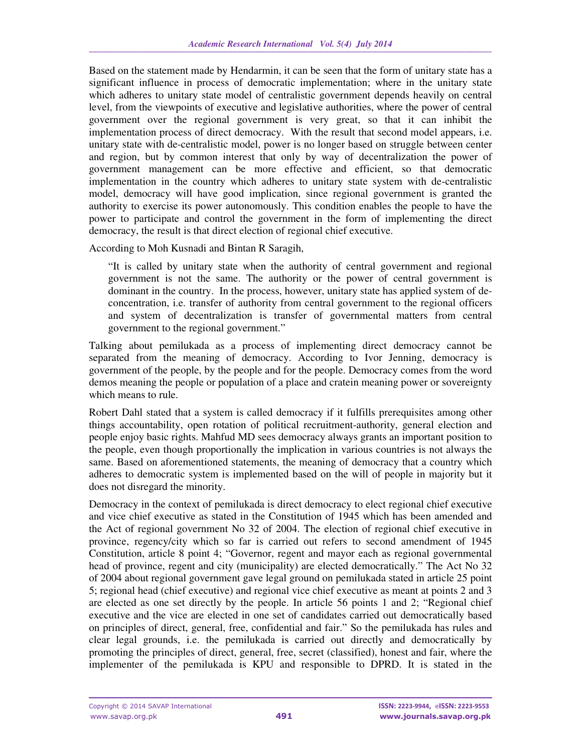Based on the statement made by Hendarmin, it can be seen that the form of unitary state has a significant influence in process of democratic implementation; where in the unitary state which adheres to unitary state model of centralistic government depends heavily on central level, from the viewpoints of executive and legislative authorities, where the power of central government over the regional government is very great, so that it can inhibit the implementation process of direct democracy. With the result that second model appears, i.e. unitary state with de-centralistic model, power is no longer based on struggle between center and region, but by common interest that only by way of decentralization the power of government management can be more effective and efficient, so that democratic implementation in the country which adheres to unitary state system with de-centralistic model, democracy will have good implication, since regional government is granted the authority to exercise its power autonomously. This condition enables the people to have the power to participate and control the government in the form of implementing the direct democracy, the result is that direct election of regional chief executive.

According to Moh Kusnadi and Bintan R Saragih,

"It is called by unitary state when the authority of central government and regional government is not the same. The authority or the power of central government is dominant in the country. In the process, however, unitary state has applied system of deconcentration, i.e. transfer of authority from central government to the regional officers and system of decentralization is transfer of governmental matters from central government to the regional government."

Talking about pemilukada as a process of implementing direct democracy cannot be separated from the meaning of democracy. According to Ivor Jenning, democracy is government of the people, by the people and for the people. Democracy comes from the word demos meaning the people or population of a place and cratein meaning power or sovereignty which means to rule.

Robert Dahl stated that a system is called democracy if it fulfills prerequisites among other things accountability, open rotation of political recruitment-authority, general election and people enjoy basic rights. Mahfud MD sees democracy always grants an important position to the people, even though proportionally the implication in various countries is not always the same. Based on aforementioned statements, the meaning of democracy that a country which adheres to democratic system is implemented based on the will of people in majority but it does not disregard the minority.

Democracy in the context of pemilukada is direct democracy to elect regional chief executive and vice chief executive as stated in the Constitution of 1945 which has been amended and the Act of regional government No 32 of 2004. The election of regional chief executive in province, regency/city which so far is carried out refers to second amendment of 1945 Constitution, article 8 point 4; "Governor, regent and mayor each as regional governmental head of province, regent and city (municipality) are elected democratically." The Act No 32 of 2004 about regional government gave legal ground on pemilukada stated in article 25 point 5; regional head (chief executive) and regional vice chief executive as meant at points 2 and 3 are elected as one set directly by the people. In article 56 points 1 and 2; "Regional chief executive and the vice are elected in one set of candidates carried out democratically based on principles of direct, general, free, confidential and fair." So the pemilukada has rules and clear legal grounds, i.e. the pemilukada is carried out directly and democratically by promoting the principles of direct, general, free, secret (classified), honest and fair, where the implementer of the pemilukada is KPU and responsible to DPRD. It is stated in the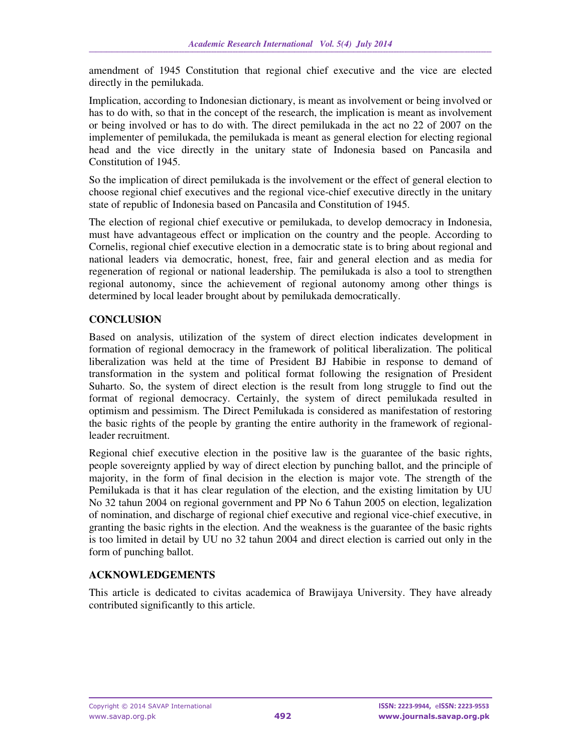amendment of 1945 Constitution that regional chief executive and the vice are elected directly in the pemilukada.

Implication, according to Indonesian dictionary, is meant as involvement or being involved or has to do with, so that in the concept of the research, the implication is meant as involvement or being involved or has to do with. The direct pemilukada in the act no 22 of 2007 on the implementer of pemilukada, the pemilukada is meant as general election for electing regional head and the vice directly in the unitary state of Indonesia based on Pancasila and Constitution of 1945.

So the implication of direct pemilukada is the involvement or the effect of general election to choose regional chief executives and the regional vice-chief executive directly in the unitary state of republic of Indonesia based on Pancasila and Constitution of 1945.

The election of regional chief executive or pemilukada, to develop democracy in Indonesia, must have advantageous effect or implication on the country and the people. According to Cornelis, regional chief executive election in a democratic state is to bring about regional and national leaders via democratic, honest, free, fair and general election and as media for regeneration of regional or national leadership. The pemilukada is also a tool to strengthen regional autonomy, since the achievement of regional autonomy among other things is determined by local leader brought about by pemilukada democratically.

# **CONCLUSION**

Based on analysis, utilization of the system of direct election indicates development in formation of regional democracy in the framework of political liberalization. The political liberalization was held at the time of President BJ Habibie in response to demand of transformation in the system and political format following the resignation of President Suharto. So, the system of direct election is the result from long struggle to find out the format of regional democracy. Certainly, the system of direct pemilukada resulted in optimism and pessimism. The Direct Pemilukada is considered as manifestation of restoring the basic rights of the people by granting the entire authority in the framework of regionalleader recruitment.

Regional chief executive election in the positive law is the guarantee of the basic rights, people sovereignty applied by way of direct election by punching ballot, and the principle of majority, in the form of final decision in the election is major vote. The strength of the Pemilukada is that it has clear regulation of the election, and the existing limitation by UU No 32 tahun 2004 on regional government and PP No 6 Tahun 2005 on election, legalization of nomination, and discharge of regional chief executive and regional vice-chief executive, in granting the basic rights in the election. And the weakness is the guarantee of the basic rights is too limited in detail by UU no 32 tahun 2004 and direct election is carried out only in the form of punching ballot.

# **ACKNOWLEDGEMENTS**

This article is dedicated to civitas academica of Brawijaya University. They have already contributed significantly to this article.